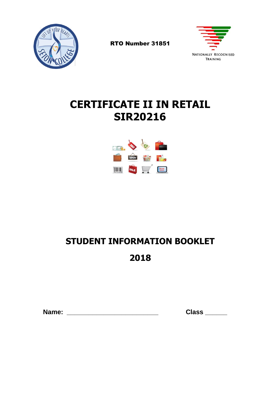

RTO Number 31851



# **CERTIFICATE II IN RETAIL SIR20216**



# **STUDENT INFORMATION BOOKLET**

# **2018**

 **Name: \_\_\_\_\_\_\_\_\_\_\_\_\_\_\_\_\_\_\_\_\_\_\_\_\_ Class \_\_\_\_\_\_**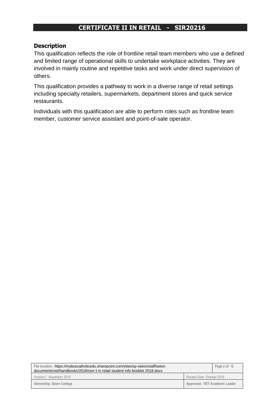## **CERTIFICATE II IN RETAIL - SIR20216**

### **Description**

This qualification reflects the role of frontline retail team members who use a defined and limited range of operational skills to undertake workplace activities. They are involved in mainly routine and repetitive tasks and work under direct supervision of others.

This qualification provides a pathway to work in a diverse range of retail settings including specialty retailers, supermarkets, department stores and quick service restaurants.

Individuals with this qualification are able to perform roles such as frontline team member, customer service assistant and point-of-sale operator.

| File location: https://mybcecatholicedu.sharepoint.com/sites/sp-seton/staff/seton<br>documents/vet/handbooks/2018/cert ii in retail student info booklet 2018.docx |                               | Page 2 of 12 |
|--------------------------------------------------------------------------------------------------------------------------------------------------------------------|-------------------------------|--------------|
| Version1: November 2016                                                                                                                                            | Review Date: October 2018     |              |
| <b>Ownership: Seton College</b>                                                                                                                                    | Approved: VET Academic Leader |              |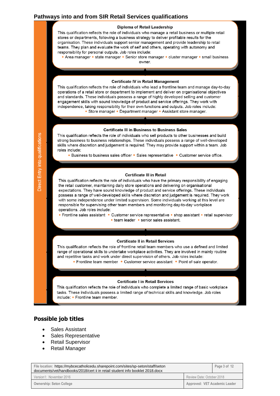#### **Pathways into and from SIR Retail Services qualifications**

#### Diploma of Retail Leadership

This qualification reflects the role of individuals who manage a retail business or multiple retail stores or departments, following a business strategy to deliver profitable results for the organisation. These individuals support senior management and provide leadership to retail teams. They plan and evaluate the work of self and others, operating with autonomy and responsibility for personal outputs. Job roles include:

• Area manager • state manager • Senior store manager • cluster manager • small business owner.

#### **Certificate IV in Retail Management**

This qualification reflects the role of individuals who lead a frontline team and manage day-to-day operations of a retail store or department to implement and deliver on organisational objectives and standards. These individuals possess a range of highly developed selling and customer engagement skills with sound knowledge of product and service offerings. They work with independence, taking responsibility for their own functions and outputs. Job roles include: • Store manager • Department manager • Assistant store manager.

#### **Certificate III in Business to Business Sales**

This qualification reflects the role of individuals who sell products to other businesses and build strong business to business relationships. These individuals possess a range of well-developed skills where discretion and judgement is required. They may provide support within a team. Job roles include:

• Business to business sales officer • Sales representative • Customer service office.

#### **Certificate III in Retail**

This qualification reflects the role of individuals who have the primary responsibility of engaging the retail customer, maintaining daily store operations and delivering on organisational expectations. They have sound knowledge of product and service offerings. These individuals possess a range of well-developed skills where discretion and judgement is required. They work with some independence under limited supervision. Some individuals working at this level are responsible for supervising other team members and monitoring day-to-day workplace operations. Job roles include:

• Frontline sales assistant • Customer service representative • shop assistant • retail supervisor • team leader • senior sales assistant.

#### **Certificate II in Retail Services**

This qualification reflects the role of frontline retail team members who use a defined and limited range of operational skills to undertake workplace activities. They are involved in mainly routine and repetitive tasks and work under direct supervision of others. Job roles include:

• Frontline team member • Customer service assistant • Point of-sale operator.

#### **Certificate I in Retail Services**

This qualification reflects the role of individuals who complete a limited range of basic workplace tasks. These individuals possess a limited range of technical skills and knowledge. Job roles include: • Frontline team member.

#### **Possible job titles**

- Sales Assistant
- Sales Representative
- Retail Supervisor
- Retail Manager

| File location: https://mybcecatholicedu.sharepoint.com/sites/sp-seton/staff/seton<br>documents/vet/handbooks/2018/cert ii in retail student info booklet 2018.docx |                               | Page 3 of 12 |
|--------------------------------------------------------------------------------------------------------------------------------------------------------------------|-------------------------------|--------------|
| Version1: November 2016                                                                                                                                            | Review Date: October 2018     |              |
| <b>Ownership: Seton College</b>                                                                                                                                    | Approved: VET Academic Leader |              |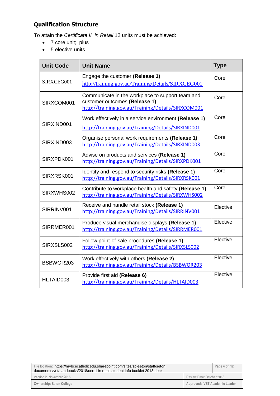## **Qualification Structure**

To attain the *Certificate II in Retail* 12 units must be achieved:

- 7 core unit; plus
- 5 elective units

| <b>Unit Code</b> | <b>Unit Name</b>                                                                                                                        | <b>Type</b> |
|------------------|-----------------------------------------------------------------------------------------------------------------------------------------|-------------|
| SIRXCEG001       | Engage the customer (Release 1)<br>http://training.gov.au/Training/Details/SIRXCEG001                                                   | Core        |
| SIRXCOM001       | Communicate in the workplace to support team and<br>customer outcomes (Release 1)<br>http://training.gov.au/Training/Details/SIRXCOM001 | Core        |
| SIRXIND001       | Work effectively in a service environment (Release 1)<br>http://training.gov.au/Training/Details/SIRXIND001                             | Core        |
| SIRXIND003       | Organise personal work requirements (Release 1)<br>http://training.gov.au/Training/Details/SIRXIND003                                   | Core        |
| SIRXPDK001       | Advise on products and services (Release 1)<br>http://training.gov.au/Training/Details/SIRXPDK001                                       | Core        |
| SIRXRSK001       | Identify and respond to security risks (Release 1)<br>http://training.gov.au/Training/Details/SIRXRSK001                                | Core        |
| SIRXWHS002       | Contribute to workplace health and safety (Release 1)<br>http://training.gov.au/Training/Details/SIRXWHS002                             | Core        |
| SIRRINV001       | Receive and handle retail stock (Release 1)<br>http://training.gov.au/Training/Details/SIRRINV001                                       | Elective    |
| SIRRMER001       | Produce visual merchandise displays (Release 1)<br>http://training.gov.au/Training/Details/SIRRMER001                                   | Elective    |
| SIRXSLS002       | Follow point-of-sale procedures (Release 1)<br>http://training.gov.au/Training/Details/SIRXSLS002                                       | Elective    |
| BSBWOR203        | Work effectively with others (Release 2)<br>http://training.gov.au/Training/Details/BSBWOR203                                           | Elective    |
| HLTAID003        | Provide first aid (Release 6)<br>http://training.gov.au/Training/Details/HLTAID003                                                      | Elective    |

| File location: https://mybcecatholicedu.sharepoint.com/sites/sp-seton/staff/seton<br>documents/vet/handbooks/2018/cert ii in retail student info booklet 2018.docx |                               | Page 4 of 12 |
|--------------------------------------------------------------------------------------------------------------------------------------------------------------------|-------------------------------|--------------|
| Version1: November 2016                                                                                                                                            | Review Date: October 2018     |              |
| <b>Ownership: Seton College</b>                                                                                                                                    | Approved: VET Academic Leader |              |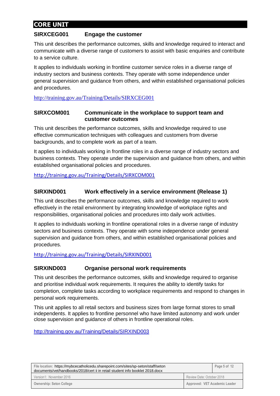## **CORE UNIT**

#### **SIRXCEG001 Engage the customer**

This unit describes the performance outcomes, skills and knowledge required to interact and communicate with a diverse range of customers to assist with basic enquiries and contribute to a service culture.

It applies to individuals working in frontline customer service roles in a diverse range of industry sectors and business contexts. They operate with some independence under general supervision and guidance from others, and within established organisational policies and procedures.

<http://training.gov.au/Training/Details/SIRXCEG001>

#### **SIRXCOM001 Communicate in the workplace to support team and customer outcomes**

This unit describes the performance outcomes, skills and knowledge required to use effective communication techniques with colleagues and customers from diverse backgrounds, and to complete work as part of a team.

It applies to individuals working in frontline roles in a diverse range of industry sectors and business contexts. They operate under the supervision and guidance from others, and within established organisational policies and procedures.

<http://training.gov.au/Training/Details/SIRXCOM001>

#### **SIRXIND001 Work effectively in a service environment (Release 1)**

This unit describes the performance outcomes, skills and knowledge required to work effectively in the retail environment by integrating knowledge of workplace rights and responsibilities, organisational policies and procedures into daily work activities.

It applies to individuals working in frontline operational roles in a diverse range of industry sectors and business contexts. They operate with some independence under general supervision and guidance from others, and within established organisational policies and procedures.

<http://training.gov.au/Training/Details/SIRXIND001>

#### **SIRXIND003 Organise personal work requirements**

This unit describes the performance outcomes, skills and knowledge required to organise and prioritise individual work requirements. It requires the ability to identify tasks for completion, complete tasks according to workplace requirements and respond to changes in personal work requirements.

This unit applies to all retail sectors and business sizes from large format stores to small independents. It applies to frontline personnel who have limited autonomy and work under close supervision and guidance of others in frontline operational roles.

<http://training.gov.au/Training/Details/SIRXIND003>

| File location: https://mybcecatholicedu.sharepoint.com/sites/sp-seton/staff/seton<br>documents/vet/handbooks/2018/cert ii in retail student info booklet 2018.docx |                               | Page 5 of 12 |
|--------------------------------------------------------------------------------------------------------------------------------------------------------------------|-------------------------------|--------------|
| Version1: November 2016                                                                                                                                            | Review Date: October 2018     |              |
| <b>Ownership: Seton College</b>                                                                                                                                    | Approved: VET Academic Leader |              |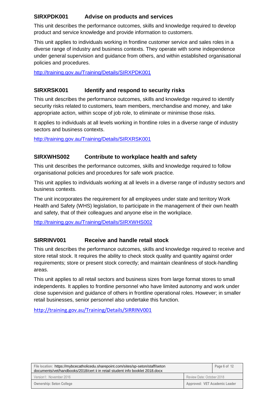### **SIRXPDK001 Advise on products and services**

This unit describes the performance outcomes, skills and knowledge required to develop product and service knowledge and provide information to customers.

This unit applies to individuals working in frontline customer service and sales roles in a diverse range of industry and business contexts. They operate with some independence under general supervision and guidance from others, and within established organisational policies and procedures.

<http://training.gov.au/Training/Details/SIRXPDK001>

### **SIRXRSK001 Identify and respond to security risks**

This unit describes the performance outcomes, skills and knowledge required to identify security risks related to customers, team members, merchandise and money, and take appropriate action, within scope of job role, to eliminate or minimise those risks.

It applies to individuals at all levels working in frontline roles in a diverse range of industry sectors and business contexts.

<http://training.gov.au/Training/Details/SIRXRSK001>

### **SIRXWHS002 Contribute to workplace health and safety**

This unit describes the performance outcomes, skills and knowledge required to follow organisational policies and procedures for safe work practice.

This unit applies to individuals working at all levels in a diverse range of industry sectors and business contexts.

The unit incorporates the requirement for all employees under state and territory Work Health and Safety (WHS) legislation, to participate in the management of their own health and safety, that of their colleagues and anyone else in the workplace.

<http://training.gov.au/Training/Details/SIRXWHS002>

## **SIRRINV001 Receive and handle retail stock**

This unit describes the performance outcomes, skills and knowledge required to receive and store retail stock. It requires the ability to check stock quality and quantity against order requirements; store or present stock correctly; and maintain cleanliness of stock-handling areas.

This unit applies to all retail sectors and business sizes from large format stores to small independents. It applies to frontline personnel who have limited autonomy and work under close supervision and guidance of others in frontline operational roles. However; in smaller retail businesses, senior personnel also undertake this function.

<http://training.gov.au/Training/Details/SIRRINV001>

| File location: https://mybcecatholicedu.sharepoint.com/sites/sp-seton/staff/seton<br>documents/vet/handbooks/2018/cert ii in retail student info booklet 2018.docx |                               | Page 6 of 12 |
|--------------------------------------------------------------------------------------------------------------------------------------------------------------------|-------------------------------|--------------|
| Version1: November 2016                                                                                                                                            | Review Date: October 2018     |              |
| <b>Ownership: Seton College</b>                                                                                                                                    | Approved: VET Academic Leader |              |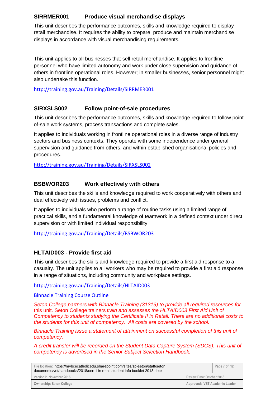### **SIRRMER001 Produce visual merchandise displays**

This unit describes the performance outcomes, skills and knowledge required to display retail merchandise. It requires the ability to prepare, produce and maintain merchandise displays in accordance with visual merchandising requirements.

This unit applies to all businesses that sell retail merchandise. It applies to frontline personnel who have limited autonomy and work under close supervision and guidance of others in frontline operational roles. However; in smaller businesses, senior personnel might also undertake this function.

<http://training.gov.au/Training/Details/SIRRMER001>

### **SIRXSLS002 Follow point-of-sale procedures**

This unit describes the performance outcomes, skills and knowledge required to follow pointof-sale work systems, process transactions and complete sales.

It applies to individuals working in frontline operational roles in a diverse range of industry sectors and business contexts. They operate with some independence under general supervision and guidance from others, and within established organisational policies and procedures.

<http://training.gov.au/Training/Details/SIRXSLS002>

### **BSBWOR203 Work effectively with others**

This unit describes the skills and knowledge required to work cooperatively with others and deal effectively with issues, problems and conflict.

It applies to individuals who perform a range of routine tasks using a limited range of practical skills, and a fundamental knowledge of teamwork in a defined context under direct supervision or with limited individual responsibility.

<http://training.gov.au/Training/Details/BSBWOR203>

#### **HLTAID003 - Provide first aid**

This unit describes the skills and knowledge required to provide a first aid response to a casualty. The unit applies to all workers who may be required to provide a first aid response in a range of situations, including community and workplace settings.

<http://training.gov.au/Training/Details/HLTAID003>

[Binnacle Training Course Outline](https://portals.bne.catholic.edu.au/schools/seton/staff/Seton%20Documents/VET/Binnacle%20Training/Course%20Outline%20-%20HLTAID003.docx)

*Seton College partners with Binnacle Training (31319) to provide all required resources for* this unit. Seton College trainers *train and assesses the HLTAID003 First Aid Unit of Competency to students studying the Certificate II in Retail. There are no additional costs to the students for this unit of competency. All costs are covered by the school.* 

*Binnacle Training issue a statement of attainment on successful completion of this unit of competency.* 

*A credit transfer will be recorded on the Student Data Capture System (SDCS). This unit of competency is advertised in the Senior Subject Selection Handbook.*

| File location: https://mybcecatholicedu.sharepoint.com/sites/sp-seton/staff/seton<br>documents/vet/handbooks/2018/cert ii in retail student info booklet 2018.docx |                               | Page 7 of 12 |
|--------------------------------------------------------------------------------------------------------------------------------------------------------------------|-------------------------------|--------------|
| Version1: November 2016                                                                                                                                            | Review Date: October 2018     |              |
| <b>Ownership: Seton College</b>                                                                                                                                    | Approved: VET Academic Leader |              |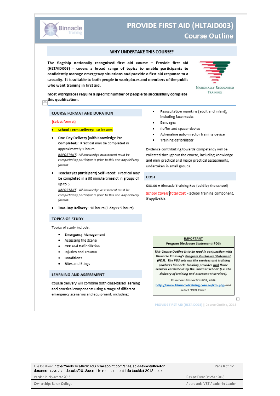

## **PROVIDE FIRST AID (HLTAID003) Course Outline**

#### WHY UNDERTAKE THIS COURSE?

The flagship nationally recognised first aid course - Provide first aid (HLTAID003) - covers a broad range of topics to enable participants to confidently manage emergency situations and provide a first aid response to a casualty. It is suitable to both people in workplaces and members of the public who want training in first aid.



TRAINING

Most workplaces require a specific number of people to successfully complete Most workplaces<br>this qualification.

#### **COURSE FORMAT AND DURATION**

#### {Select format}

- · School Term Delivery: 10 lessons
- One-Day Delivery (with Knowledge Pre-Completed): Practical may be completed in approximately 5 hours.

IMPORTANT: All knowledge assessment must be completed by participants prior to this one-day delivery format.

Teacher (as participant) Self-Paced: Practical may be completed in a 60 minute timeslot in groups of up to 6.

**IMPORTANT**: All knowledge assessment must be completed by participants prior to this one-day delivery format.

Two-Day Delivery: 10 hours (2 days x 5 hours).

#### **TOPICS OF STUDY**

Topics of study include:

- · Emergency Management
- Assessing the Scene
- CPR and Defibrillation
- Injuries and Trauma
- Conditions
- Bites and Stings

#### **LEARNING AND ASSESSMENT**

Course delivery will combine both class-based learning and practical components using a range of different emergency scenarios and equipment, including:

- Resuscitation manikins (adult and infant), including face masks
- Bandages
- Puffer and spacer device
- Adrenaline auto-injector training device
- Training defibrillator ٠

Evidence contributing towards competency will be collected throughout the course, including knowledge and mini practical and major practical assessments, undertaken in small groups.

#### COST

\$33.00 = Binnacle Training Fee (paid by the school)

School Covers Total Cost = School training component, if applicable



 $\Box$ 

PROVIDE FIRST AID (HLTAID003) | Course Outline, 2015

| File location: https://mybcecatholicedu.sharepoint.com/sites/sp-seton/staff/seton<br>documents/vet/handbooks/2018/cert ii in retail student info booklet 2018.docx |                               | Page 8 of 12 |
|--------------------------------------------------------------------------------------------------------------------------------------------------------------------|-------------------------------|--------------|
| Version1: November 2016                                                                                                                                            | Review Date: October 2018     |              |
| Ownership: Seton College                                                                                                                                           | Approved: VET Academic Leader |              |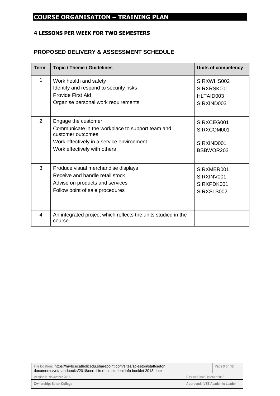## **COURSE ORGANISATION – TRAINING PLAN**

## **4 LESSONS PER WEEK FOR TWO SEMESTERS**

## **PROPOSED DELIVERY & ASSESSMENT SCHEDULE**

| <b>Term</b> | <b>Topic / Theme / Guidelines</b>                                                                                                                                         | <b>Units of competency</b>                           |
|-------------|---------------------------------------------------------------------------------------------------------------------------------------------------------------------------|------------------------------------------------------|
| 1           | Work health and safety<br>Identify and respond to security risks<br>Provide First Aid<br>Organise personal work requirements                                              | SIRXWHS002<br>SIRXRSK001<br>HLTAID003<br>SIRXIND003  |
| 2           | Engage the customer<br>Communicate in the workplace to support team and<br>customer outcomes<br>Work effectively in a service environment<br>Work effectively with others | SIRXCEG001<br>SIRXCOM001<br>SIRXIND001<br>BSBWOR203  |
| 3           | Produce visual merchandise displays<br>Receive and handle retail stock<br>Advise on products and services<br>Follow point of sale procedures                              | SIRXMER001<br>SIRXINV001<br>SIRXPDK001<br>SIRXSLS002 |
| 4           | An integrated project which reflects the units studied in the<br>course                                                                                                   |                                                      |

| File location: https://mybcecatholicedu.sharepoint.com/sites/sp-seton/staff/seton<br>documents/vet/handbooks/2018/cert ii in retail student info booklet 2018.docx |                               | Page 9 of 12 |
|--------------------------------------------------------------------------------------------------------------------------------------------------------------------|-------------------------------|--------------|
| Version1: November 2016                                                                                                                                            | Review Date: October 2018     |              |
| <b>Ownership: Seton College</b>                                                                                                                                    | Approved: VET Academic Leader |              |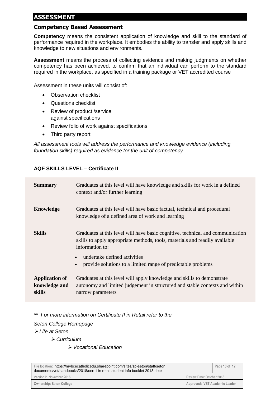## **ASSESSMENT**

#### **Competency Based Assessment**

**Competency** means the consistent application of knowledge and skill to the standard of performance required in the workplace. It embodies the ability to transfer and apply skills and knowledge to new situations and environments.

**Assessment** means the process of collecting evidence and making judgments on whether competency has been achieved, to confirm that an individual can perform to the standard required in the workplace, as specified in a training package or VET accredited course

Assessment in these units will consist of:

- Observation checklist
- Questions checklist
- Review of product /service against specifications
- Review folio of work against specifications
- Third party report

*All assessment tools will address the performance and knowledge evidence (including foundation skills) required as evidence for the unit of competency*

#### **AQF SKILLS LEVEL – Certificate II**

| <b>Summary</b>                                   | Graduates at this level will have knowledge and skills for work in a defined<br>context and/or further learning                                                                  |
|--------------------------------------------------|----------------------------------------------------------------------------------------------------------------------------------------------------------------------------------|
| <b>Knowledge</b>                                 | Graduates at this level will have basic factual, technical and procedural<br>knowledge of a defined area of work and learning                                                    |
| <b>Skills</b>                                    | Graduates at this level will have basic cognitive, technical and communication<br>skills to apply appropriate methods, tools, materials and readily available<br>information to: |
|                                                  | undertake defined activities<br>provide solutions to a limited range of predictable problems                                                                                     |
| <b>Application of</b><br>knowledge and<br>skills | Graduates at this level will apply knowledge and skills to demonstrate<br>autonomy and limited judgement in structured and stable contexts and within<br>narrow parameters       |

*\*\* For more information on Certificate II in Retail refer to the Seton College Homepage*  ➢ *Life at Seton*  ➢ *Curriculum* 

➢ *Vocational Education*

| File location: https://mybcecatholicedu.sharepoint.com/sites/sp-seton/staff/seton<br>documents/vet/handbooks/2018/cert ii in retail student info booklet 2018.docx |                               | Page 10 of 12 |
|--------------------------------------------------------------------------------------------------------------------------------------------------------------------|-------------------------------|---------------|
| Version1: November 2016                                                                                                                                            | Review Date: October 2018     |               |
| <b>Ownership: Seton College</b>                                                                                                                                    | Approved: VET Academic Leader |               |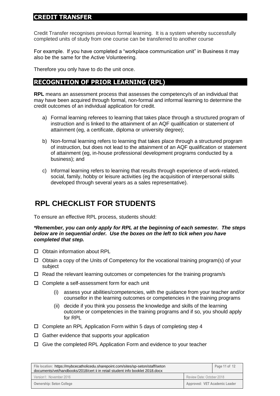## **CREDIT TRANSFER**

Credit Transfer recognises previous formal learning. It is a system whereby successfully completed units of study from one course can be transferred to another course

For example. If you have completed a "workplace communication unit" in Business it may also be the same for the Active Volunteering.

Therefore you only have to do the unit once.

## **RECOGNITION OF PRIOR LEARNING (RPL)**

**RPL** means an assessment process that assesses the competency/s of an individual that may have been acquired through formal, non-formal and informal learning to determine the credit outcomes of an individual application for credit.

- a) Formal learning referees to learning that takes place through a structured program of instruction and is linked to the attainment of an AQF qualification or statement of attainment (eg, a certificate, diploma or university degree);
- b) Non-formal learning refers to learning that takes place through a structured program of instruction, but does not lead to the attainment of an AQF qualification or statement of attainment (eg, in-house professional development programs conducted by a business); and
- c) Informal learning refers to learning that results through experience of work-related, social, family, hobby or leisure activities (eg the acquisition of interpersonal skills developed through several years as a sales representative).

## **RPL CHECKLIST FOR STUDENTS**

To ensure an effective RPL process, students should:

*\*Remember, you can only apply for RPL at the beginning of each semester. The steps below are in sequential order. Use the boxes on the left to tick when you have completed that step.*

- □ Obtain information about RPL
- $\Box$  Obtain a copy of the Units of Competency for the vocational training program(s) of your subject
- $\Box$  Read the relevant learning outcomes or competencies for the training program/s
- $\square$  Complete a self-assessment form for each unit
	- (i) assess your abilities/competencies, with the guidance from your teacher and/or counsellor in the learning outcomes or competencies in the training programs
	- (ii) decide if you think you possess the knowledge and skills of the learning outcome or competencies in the training programs and if so, you should apply for RPL
- $\Box$  Complete an RPL Application Form within 5 days of completing step 4
- $\Box$  Gather evidence that supports your application
- $\Box$  Give the completed RPL Application Form and evidence to your teacher

| File location: https://mybcecatholicedu.sharepoint.com/sites/sp-seton/staff/seton<br>documents/vet/handbooks/2018/cert ii in retail student info booklet 2018.docx |                               | Page 11 of 12 |
|--------------------------------------------------------------------------------------------------------------------------------------------------------------------|-------------------------------|---------------|
| Version1: November 2016                                                                                                                                            | Review Date: October 2018     |               |
| <b>Ownership: Seton College</b>                                                                                                                                    | Approved: VET Academic Leader |               |